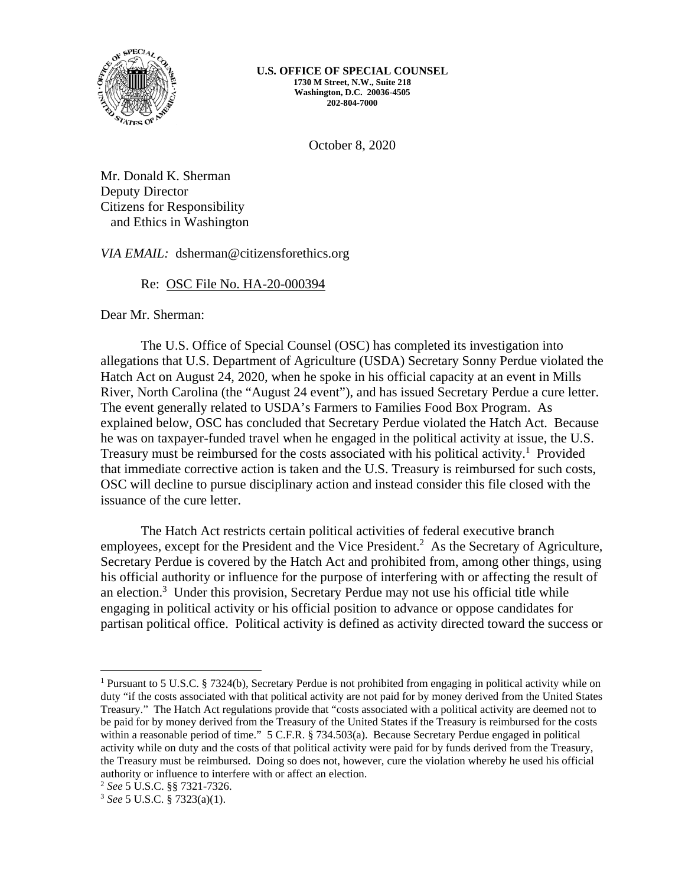

October 8, 2020

Mr. Donald K. Sherman Deputy Director Citizens for Responsibility and Ethics in Washington

*VIA EMAIL:* dsherman@citizensforethics.org

# Re: OSC File No. HA-20-000394

Dear Mr. Sherman:

The U.S. Office of Special Counsel (OSC) has completed its investigation into allegations that U.S. Department of Agriculture (USDA) Secretary Sonny Perdue violated the Hatch Act on August 24, 2020, when he spoke in his official capacity at an event in Mills River, North Carolina (the "August 24 event"), and has issued Secretary Perdue a cure letter. The event generally related to USDA's Farmers to Families Food Box Program. As explained below, OSC has concluded that Secretary Perdue violated the Hatch Act. Because he was on taxpayer-funded travel when he engaged in the political activity at issue, the U.S. Treasury must be reimbursed for the costs associated with his political activity.<sup>1</sup> Provided that immediate corrective action is taken and the U.S. Treasury is reimbursed for such costs, OSC will decline to pursue disciplinary action and instead consider this file closed with the issuance of the cure letter.

The Hatch Act restricts certain political activities of federal executive branch employees, except for the President and the Vice President.<sup>2</sup> As the Secretary of Agriculture, Secretary Perdue is covered by the Hatch Act and prohibited from, among other things, using his official authority or influence for the purpose of interfering with or affecting the result of an election.<sup>3</sup> Under this provision, Secretary Perdue may not use his official title while engaging in political activity or his official position to advance or oppose candidates for partisan political office. Political activity is defined as activity directed toward the success or

<sup>&</sup>lt;sup>1</sup> Pursuant to 5 U.S.C. § 7324(b), Secretary Perdue is not prohibited from engaging in political activity while on duty "if the costs associated with that political activity are not paid for by money derived from the United States Treasury." The Hatch Act regulations provide that "costs associated with a political activity are deemed not to be paid for by money derived from the Treasury of the United States if the Treasury is reimbursed for the costs within a reasonable period of time." 5 C.F.R. § 734.503(a). Because Secretary Perdue engaged in political activity while on duty and the costs of that political activity were paid for by funds derived from the Treasury, the Treasury must be reimbursed. Doing so does not, however, cure the violation whereby he used his official authority or influence to interfere with or affect an election.<br>
<sup>2</sup> *See* 5 U.S.C. §§ 7321-7326.<br>
<sup>3</sup> *See* 5 U.S.C. § 7323(a)(1).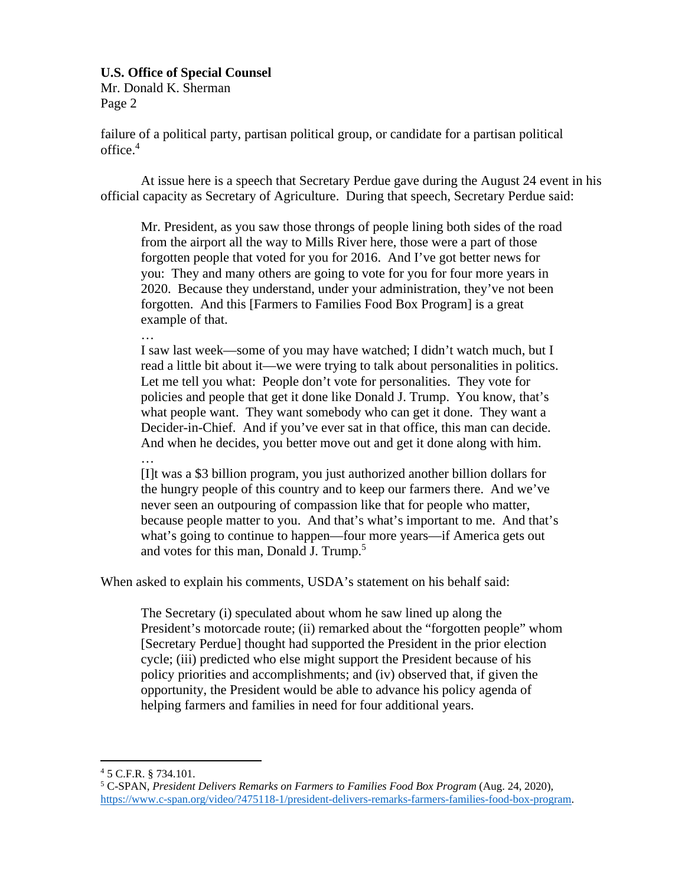Mr. Donald K. Sherman Page 2

failure of a political party, partisan political group, or candidate for a partisan political  $office.<sup>4</sup>$ 

At issue here is a speech that Secretary Perdue gave during the August 24 event in his official capacity as Secretary of Agriculture. During that speech, Secretary Perdue said:

Mr. President, as you saw those throngs of people lining both sides of the road from the airport all the way to Mills River here, those were a part of those forgotten people that voted for you for 2016. And I've got better news for you: They and many others are going to vote for you for four more years in 2020. Because they understand, under your administration, they've not been forgotten. And this [Farmers to Families Food Box Program] is a great example of that.

…

I saw last week—some of you may have watched; I didn't watch much, but I read a little bit about it—we were trying to talk about personalities in politics. Let me tell you what: People don't vote for personalities. They vote for policies and people that get it done like Donald J. Trump. You know, that's what people want. They want somebody who can get it done. They want a Decider-in-Chief. And if you've ever sat in that office, this man can decide. And when he decides, you better move out and get it done along with him.

…

[I]t was a \$3 billion program, you just authorized another billion dollars for the hungry people of this country and to keep our farmers there. And we've never seen an outpouring of compassion like that for people who matter, because people matter to you. And that's what's important to me. And that's what's going to continue to happen—four more years—if America gets out and votes for this man, Donald J. Trump.<sup>5</sup>

When asked to explain his comments, USDA's statement on his behalf said:

The Secretary (i) speculated about whom he saw lined up along the President's motorcade route; (ii) remarked about the "forgotten people" whom [Secretary Perdue] thought had supported the President in the prior election cycle; (iii) predicted who else might support the President because of his policy priorities and accomplishments; and (iv) observed that, if given the opportunity, the President would be able to advance his policy agenda of helping farmers and families in need for four additional years.

<sup>4</sup> 5 C.F.R. § 734.101.

<sup>&</sup>lt;sup>5</sup> C-SPAN, President Delivers Remarks on Farmers to Families Food Box Program (Aug. 24, 2020), https://www.c-span.org/video/?475118-1/president-delivers-remarks-farmers-families-food-box-program.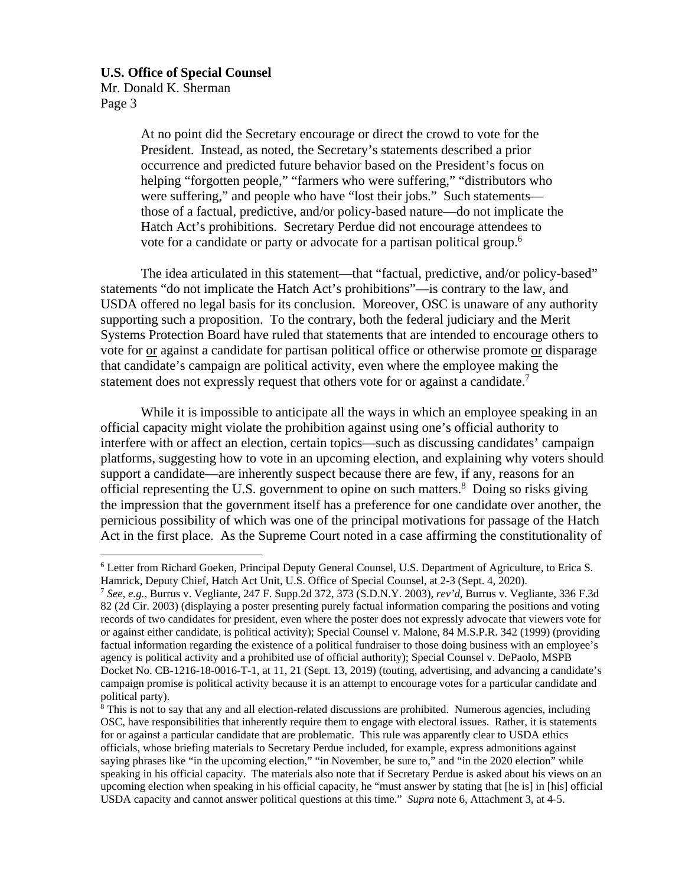Mr. Donald K. Sherman Page 3

> At no point did the Secretary encourage or direct the crowd to vote for the President. Instead, as noted, the Secretary's statements described a prior occurrence and predicted future behavior based on the President's focus on helping "forgotten people," "farmers who were suffering," "distributors who were suffering," and people who have "lost their jobs." Such statements those of a factual, predictive, and/or policy-based nature—do not implicate the Hatch Act's prohibitions. Secretary Perdue did not encourage attendees to vote for a candidate or party or advocate for a partisan political group.<sup>6</sup>

The idea articulated in this statement—that "factual, predictive, and/or policy-based" statements "do not implicate the Hatch Act's prohibitions"—is contrary to the law, and USDA offered no legal basis for its conclusion. Moreover, OSC is unaware of any authority supporting such a proposition. To the contrary, both the federal judiciary and the Merit Systems Protection Board have ruled that statements that are intended to encourage others to vote for or against a candidate for partisan political office or otherwise promote or disparage that candidate's campaign are political activity, even where the employee making the statement does not expressly request that others vote for or against a candidate.<sup>7</sup>

While it is impossible to anticipate all the ways in which an employee speaking in an official capacity might violate the prohibition against using one's official authority to interfere with or affect an election, certain topics—such as discussing candidates' campaign platforms, suggesting how to vote in an upcoming election, and explaining why voters should support a candidate—are inherently suspect because there are few, if any, reasons for an official representing the U.S. government to opine on such matters.<sup>8</sup> Doing so risks giving the impression that the government itself has a preference for one candidate over another, the pernicious possibility of which was one of the principal motivations for passage of the Hatch Act in the first place. As the Supreme Court noted in a case affirming the constitutionality of

<sup>6</sup> Letter from Richard Goeken, Principal Deputy General Counsel, U.S. Department of Agriculture, to Erica S. Hamrick, Deputy Chief, Hatch Act Unit, U.S. Office of Special Counsel, at 2-3 (Sept. 4, 2020).<br><sup>7</sup> *See, e.g.*, Burrus v. Vegliante, 247 F. Supp.2d 372, 373 (S.D.N.Y. 2003), *rev'd*, Burrus v. Vegliante, 336 F.3d

<sup>82 (2</sup>d Cir. 2003) (displaying a poster presenting purely factual information comparing the positions and voting records of two candidates for president, even where the poster does not expressly advocate that viewers vote for or against either candidate, is political activity); Special Counsel v. Malone, 84 M.S.P.R. 342 (1999) (providing factual information regarding the existence of a political fundraiser to those doing business with an employee's agency is political activity and a prohibited use of official authority); Special Counsel v. DePaolo, MSPB Docket No. CB-1216-18-0016-T-1, at 11, 21 (Sept. 13, 2019) (touting, advertising, and advancing a candidate's campaign promise is political activity because it is an attempt to encourage votes for a particular candidate and political party).

<sup>&</sup>lt;sup>8</sup> This is not to say that any and all election-related discussions are prohibited. Numerous agencies, including OSC, have responsibilities that inherently require them to engage with electoral issues. Rather, it is statements for or against a particular candidate that are problematic. This rule was apparently clear to USDA ethics officials, whose briefing materials to Secretary Perdue included, for example, express admonitions against saying phrases like "in the upcoming election," "in November, be sure to," and "in the 2020 election" while speaking in his official capacity. The materials also note that if Secretary Perdue is asked about his views on an upcoming election when speaking in his official capacity, he "must answer by stating that [he is] in [his] official USDA capacity and cannot answer political questions at this time." *Supra* note 6, Attachment 3, at 4-5.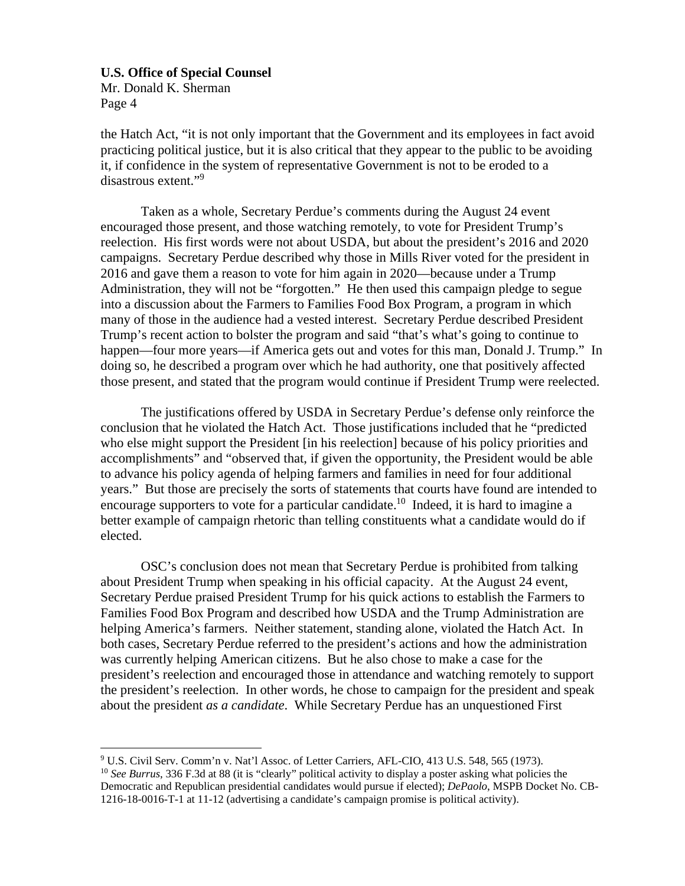Mr. Donald K. Sherman Page 4

the Hatch Act, "it is not only important that the Government and its employees in fact avoid practicing political justice, but it is also critical that they appear to the public to be avoiding it, if confidence in the system of representative Government is not to be eroded to a disastrous extent."9

Taken as a whole, Secretary Perdue's comments during the August 24 event encouraged those present, and those watching remotely, to vote for President Trump's reelection. His first words were not about USDA, but about the president's 2016 and 2020 campaigns. Secretary Perdue described why those in Mills River voted for the president in 2016 and gave them a reason to vote for him again in 2020—because under a Trump Administration, they will not be "forgotten." He then used this campaign pledge to segue into a discussion about the Farmers to Families Food Box Program, a program in which many of those in the audience had a vested interest. Secretary Perdue described President Trump's recent action to bolster the program and said "that's what's going to continue to happen—four more years—if America gets out and votes for this man, Donald J. Trump." In doing so, he described a program over which he had authority, one that positively affected those present, and stated that the program would continue if President Trump were reelected.

The justifications offered by USDA in Secretary Perdue's defense only reinforce the conclusion that he violated the Hatch Act. Those justifications included that he "predicted who else might support the President [in his reelection] because of his policy priorities and accomplishments" and "observed that, if given the opportunity, the President would be able to advance his policy agenda of helping farmers and families in need for four additional years." But those are precisely the sorts of statements that courts have found are intended to encourage supporters to vote for a particular candidate.<sup>10</sup> Indeed, it is hard to imagine a better example of campaign rhetoric than telling constituents what a candidate would do if elected.

OSC's conclusion does not mean that Secretary Perdue is prohibited from talking about President Trump when speaking in his official capacity. At the August 24 event, Secretary Perdue praised President Trump for his quick actions to establish the Farmers to Families Food Box Program and described how USDA and the Trump Administration are helping America's farmers. Neither statement, standing alone, violated the Hatch Act. In both cases, Secretary Perdue referred to the president's actions and how the administration was currently helping American citizens. But he also chose to make a case for the president's reelection and encouraged those in attendance and watching remotely to support the president's reelection. In other words, he chose to campaign for the president and speak about the president *as a candidate*. While Secretary Perdue has an unquestioned First

<sup>9</sup> U.S. Civil Serv. Comm'n v. Nat'l Assoc. of Letter Carriers, AFL-CIO, 413 U.S. 548, 565 (1973).

<sup>10</sup> *See Burrus*, 336 F.3d at 88 (it is "clearly" political activity to display a poster asking what policies the Democratic and Republican presidential candidates would pursue if elected); *DePaolo*, MSPB Docket No. CB-1216-18-0016-T-1 at 11-12 (advertising a candidate's campaign promise is political activity).